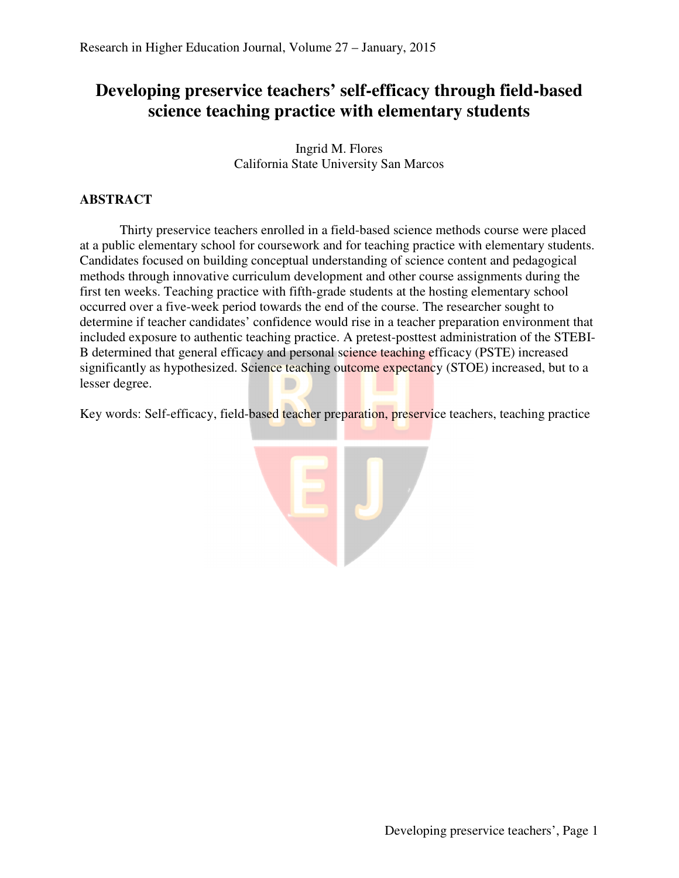# **Developing preservice teachers' self-efficacy through field-based science teaching practice with elementary students**

Ingrid M. Flores California State University San Marcos

# **ABSTRACT**

Thirty preservice teachers enrolled in a field-based science methods course were placed at a public elementary school for coursework and for teaching practice with elementary students. Candidates focused on building conceptual understanding of science content and pedagogical methods through innovative curriculum development and other course assignments during the first ten weeks. Teaching practice with fifth-grade students at the hosting elementary school occurred over a five-week period towards the end of the course. The researcher sought to determine if teacher candidates' confidence would rise in a teacher preparation environment that included exposure to authentic teaching practice. A pretest-posttest administration of the STEBI-B determined that general efficacy and personal science teaching efficacy (PSTE) increased significantly as hypothesized. Science teaching outcome expectancy (STOE) increased, but to a lesser degree.

Key words: Self-efficacy, field-based teacher preparation, preservice teachers, teaching practice

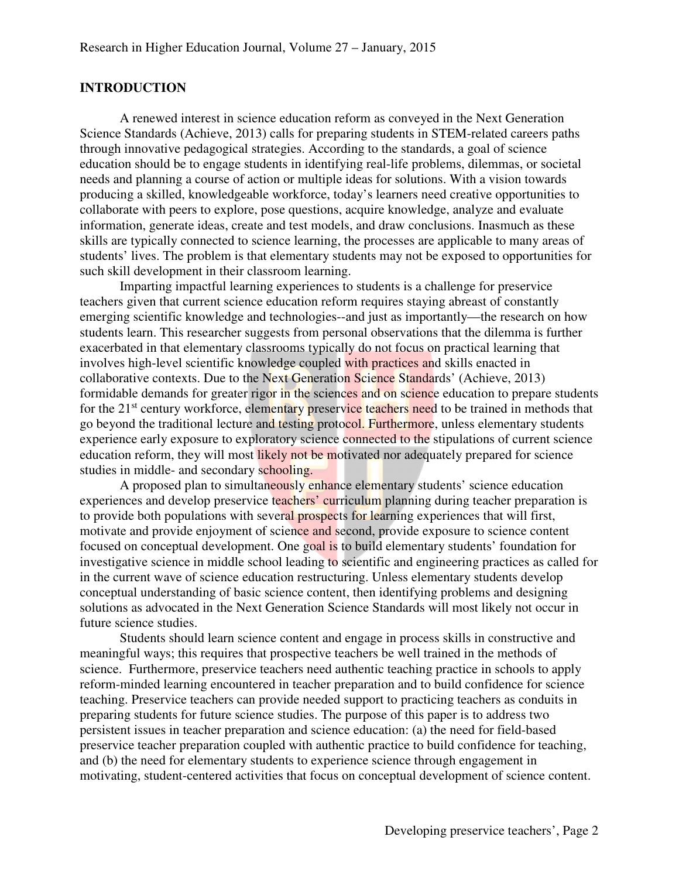### **INTRODUCTION**

A renewed interest in science education reform as conveyed in the Next Generation Science Standards (Achieve, 2013) calls for preparing students in STEM-related careers paths through innovative pedagogical strategies. According to the standards, a goal of science education should be to engage students in identifying real-life problems, dilemmas, or societal needs and planning a course of action or multiple ideas for solutions. With a vision towards producing a skilled, knowledgeable workforce, today's learners need creative opportunities to collaborate with peers to explore, pose questions, acquire knowledge, analyze and evaluate information, generate ideas, create and test models, and draw conclusions. Inasmuch as these skills are typically connected to science learning, the processes are applicable to many areas of students' lives. The problem is that elementary students may not be exposed to opportunities for such skill development in their classroom learning.

Imparting impactful learning experiences to students is a challenge for preservice teachers given that current science education reform requires staying abreast of constantly emerging scientific knowledge and technologies--and just as importantly—the research on how students learn. This researcher suggests from personal observations that the dilemma is further exacerbated in that elementary classrooms typically do not focus on practical learning that involves high-level scientific knowledge coupled with practices and skills enacted in collaborative contexts. Due to the Next Generation Science Standards' (Achieve, 2013) formidable demands for greater rigor in the sciences and on science education to prepare students for the 21<sup>st</sup> century workforce, elementary preservice teachers need to be trained in methods that go beyond the traditional lecture and testing protocol. Furthermore, unless elementary students experience early exposure to exploratory science connected to the stipulations of current science education reform, they will most likely not be motivated nor adequately prepared for science studies in middle- and secondary schooling.

A proposed plan to simultaneously enhance elementary students' science education experiences and develop preservice teachers' curriculum planning during teacher preparation is to provide both populations with several prospects for learning experiences that will first, motivate and provide enjoyment of science and second, provide exposure to science content focused on conceptual development. One goal is to build elementary students' foundation for investigative science in middle school leading to scientific and engineering practices as called for in the current wave of science education restructuring. Unless elementary students develop conceptual understanding of basic science content, then identifying problems and designing solutions as advocated in the Next Generation Science Standards will most likely not occur in future science studies.

Students should learn science content and engage in process skills in constructive and meaningful ways; this requires that prospective teachers be well trained in the methods of science. Furthermore, preservice teachers need authentic teaching practice in schools to apply reform-minded learning encountered in teacher preparation and to build confidence for science teaching. Preservice teachers can provide needed support to practicing teachers as conduits in preparing students for future science studies. The purpose of this paper is to address two persistent issues in teacher preparation and science education: (a) the need for field-based preservice teacher preparation coupled with authentic practice to build confidence for teaching, and (b) the need for elementary students to experience science through engagement in motivating, student-centered activities that focus on conceptual development of science content.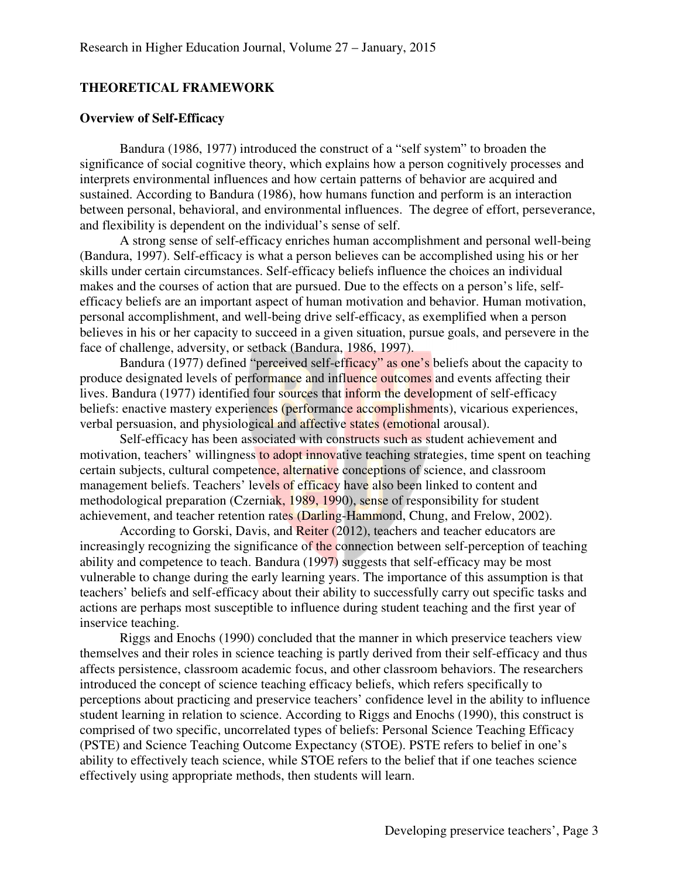#### **THEORETICAL FRAMEWORK**

# **Overview of Self-Efficacy**

Bandura (1986, 1977) introduced the construct of a "self system" to broaden the significance of social cognitive theory, which explains how a person cognitively processes and interprets environmental influences and how certain patterns of behavior are acquired and sustained. According to Bandura (1986), how humans function and perform is an interaction between personal, behavioral, and environmental influences. The degree of effort, perseverance, and flexibility is dependent on the individual's sense of self.

A strong sense of self-efficacy enriches human accomplishment and personal well-being (Bandura, 1997). Self-efficacy is what a person believes can be accomplished using his or her skills under certain circumstances. Self-efficacy beliefs influence the choices an individual makes and the courses of action that are pursued. Due to the effects on a person's life, selfefficacy beliefs are an important aspect of human motivation and behavior. Human motivation, personal accomplishment, and well-being drive self-efficacy, as exemplified when a person believes in his or her capacity to succeed in a given situation, pursue goals, and persevere in the face of challenge, adversity, or setback (Bandura, 1986, 1997).

Bandura (1977) defined "perceived self-efficacy" as one's beliefs about the capacity to produce designated levels of performance and influence outcomes and events affecting their lives. Bandura (1977) identified four sources that inform the development of self-efficacy beliefs: enactive mastery experiences (performance accomplishments), vicarious experiences, verbal persuasion, and physiological and affective states (emotional arousal).

Self-efficacy has been associated with constructs such as student achievement and motivation, teachers' willingness to adopt innovative teaching strategies, time spent on teaching certain subjects, cultural competence, alternative conceptions of science, and classroom management beliefs. Teachers' levels of efficacy have also been linked to content and methodological preparation (Czerniak, 1989, 1990), sense of responsibility for student achievement, and teacher retention rates (Darling-Hammond, Chung, and Frelow, 2002).

According to Gorski, Davis, and Reiter (2012), teachers and teacher educators are increasingly recognizing the significance of the connection between self-perception of teaching ability and competence to teach. Bandura (1997) suggests that self-efficacy may be most vulnerable to change during the early learning years. The importance of this assumption is that teachers' beliefs and self-efficacy about their ability to successfully carry out specific tasks and actions are perhaps most susceptible to influence during student teaching and the first year of inservice teaching.

Riggs and Enochs (1990) concluded that the manner in which preservice teachers view themselves and their roles in science teaching is partly derived from their self-efficacy and thus affects persistence, classroom academic focus, and other classroom behaviors. The researchers introduced the concept of science teaching efficacy beliefs, which refers specifically to perceptions about practicing and preservice teachers' confidence level in the ability to influence student learning in relation to science. According to Riggs and Enochs (1990), this construct is comprised of two specific, uncorrelated types of beliefs: Personal Science Teaching Efficacy (PSTE) and Science Teaching Outcome Expectancy (STOE). PSTE refers to belief in one's ability to effectively teach science, while STOE refers to the belief that if one teaches science effectively using appropriate methods, then students will learn.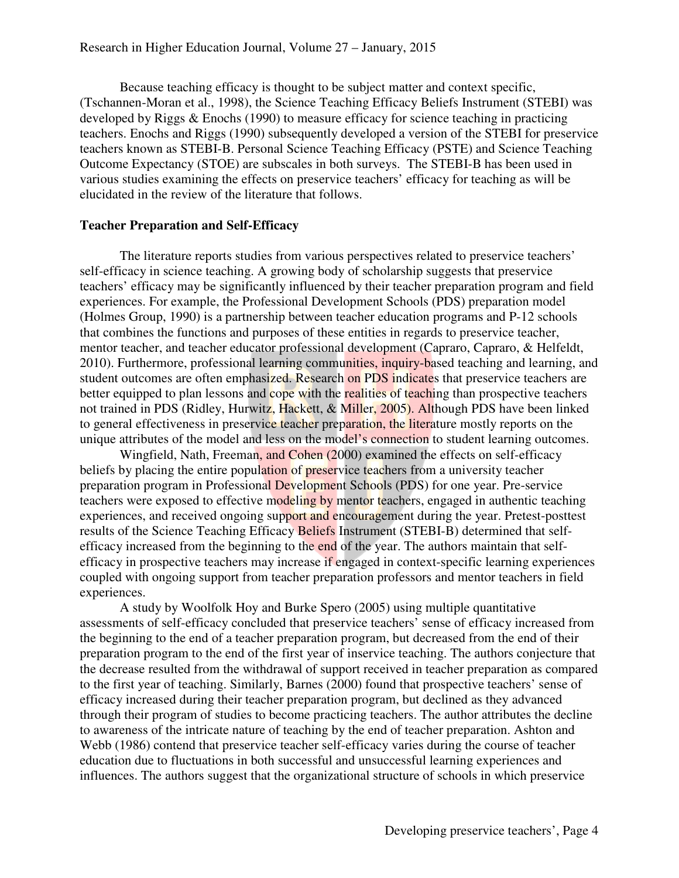Because teaching efficacy is thought to be subject matter and context specific, (Tschannen-Moran et al., 1998), the Science Teaching Efficacy Beliefs Instrument (STEBI) was developed by Riggs & Enochs (1990) to measure efficacy for science teaching in practicing teachers. Enochs and Riggs (1990) subsequently developed a version of the STEBI for preservice teachers known as STEBI-B. Personal Science Teaching Efficacy (PSTE) and Science Teaching Outcome Expectancy (STOE) are subscales in both surveys. The STEBI-B has been used in various studies examining the effects on preservice teachers' efficacy for teaching as will be elucidated in the review of the literature that follows.

#### **Teacher Preparation and Self-Efficacy**

The literature reports studies from various perspectives related to preservice teachers' self-efficacy in science teaching. A growing body of scholarship suggests that preservice teachers' efficacy may be significantly influenced by their teacher preparation program and field experiences. For example, the Professional Development Schools (PDS) preparation model (Holmes Group, 1990) is a partnership between teacher education programs and P-12 schools that combines the functions and purposes of these entities in regards to preservice teacher, mentor teacher, and teacher educator professional development (Capraro, Capraro, & Helfeldt, 2010). Furthermore, professional learning communities, inquiry-based teaching and learning, and student outcomes are often emphasized. Research on PDS indicates that preservice teachers are better equipped to plan lessons and cope with the realities of teaching than prospective teachers not trained in PDS (Ridley, Hurwitz, Hackett, & Miller, 2005). Although PDS have been linked to general effectiveness in preservice teacher preparation, the literature mostly reports on the unique attributes of the model and less on the model's connection to student learning outcomes.

Wingfield, Nath, Freeman, and Cohen (2000) examined the effects on self-efficacy beliefs by placing the entire population of preservice teachers from a university teacher preparation program in Professional Development Schools (PDS) for one year. Pre-service teachers were exposed to effective modeling by mentor teachers, engaged in authentic teaching experiences, and received ongoing support and encouragement during the year. Pretest-posttest results of the Science Teaching Efficacy Beliefs Instrument (STEBI-B) determined that selfefficacy increased from the beginning to the end of the year. The authors maintain that selfefficacy in prospective teachers may increase if engaged in context-specific learning experiences coupled with ongoing support from teacher preparation professors and mentor teachers in field experiences.

A study by Woolfolk Hoy and Burke Spero (2005) using multiple quantitative assessments of self-efficacy concluded that preservice teachers' sense of efficacy increased from the beginning to the end of a teacher preparation program, but decreased from the end of their preparation program to the end of the first year of inservice teaching. The authors conjecture that the decrease resulted from the withdrawal of support received in teacher preparation as compared to the first year of teaching. Similarly, Barnes (2000) found that prospective teachers' sense of efficacy increased during their teacher preparation program, but declined as they advanced through their program of studies to become practicing teachers. The author attributes the decline to awareness of the intricate nature of teaching by the end of teacher preparation. Ashton and Webb (1986) contend that preservice teacher self-efficacy varies during the course of teacher education due to fluctuations in both successful and unsuccessful learning experiences and influences. The authors suggest that the organizational structure of schools in which preservice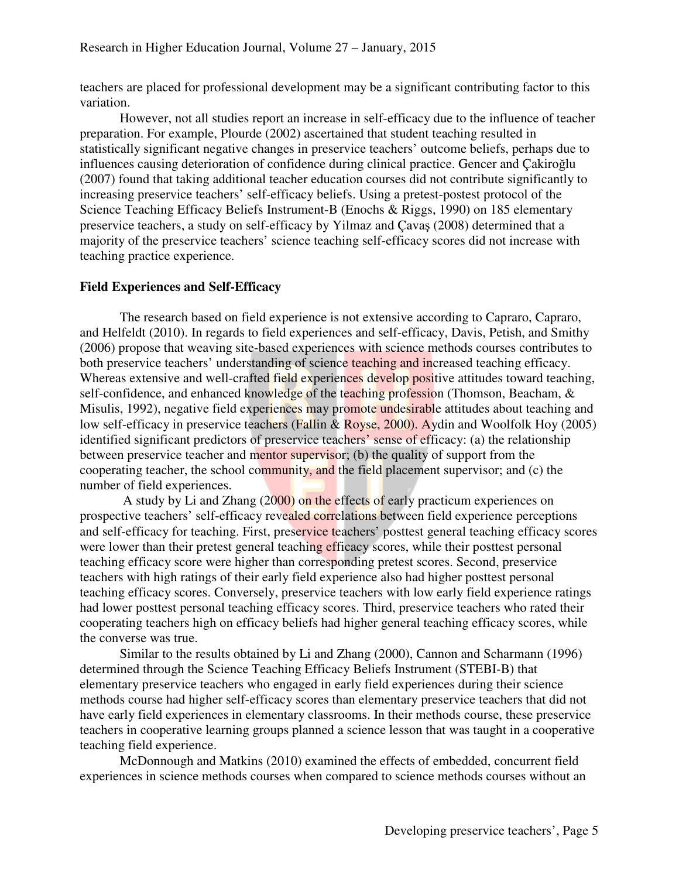teachers are placed for professional development may be a significant contributing factor to this variation.

However, not all studies report an increase in self-efficacy due to the influence of teacher preparation. For example, Plourde (2002) ascertained that student teaching resulted in statistically significant negative changes in preservice teachers' outcome beliefs, perhaps due to influences causing deterioration of confidence during clinical practice. Gencer and Çakiroğlu (2007) found that taking additional teacher education courses did not contribute significantly to increasing preservice teachers' self-efficacy beliefs. Using a pretest-postest protocol of the Science Teaching Efficacy Beliefs Instrument-B (Enochs & Riggs, 1990) on 185 elementary preservice teachers, a study on self-efficacy by Yilmaz and Çavaş (2008) determined that a majority of the preservice teachers' science teaching self-efficacy scores did not increase with teaching practice experience.

# **Field Experiences and Self-Efficacy**

 The research based on field experience is not extensive according to Capraro, Capraro, and Helfeldt (2010). In regards to field experiences and self-efficacy, Davis, Petish, and Smithy (2006) propose that weaving site-based experiences with science methods courses contributes to both preservice teachers' understanding of science teaching and increased teaching efficacy. Whereas extensive and well-crafted field experiences develop positive attitudes toward teaching, self-confidence, and enhanced knowledge of the teaching profession (Thomson, Beacham, & Misulis, 1992), negative field experiences may promote undesirable attitudes about teaching and low self-efficacy in preservice teachers (Fallin & Royse, 2000). Aydin and Woolfolk Hoy (2005) identified significant predictors of preservice teachers' sense of efficacy: (a) the relationship between preservice teacher and mentor supervisor; (b) the quality of support from the cooperating teacher, the school community, and the field placement supervisor; and (c) the number of field experiences.

 A study by Li and Zhang (2000) on the effects of early practicum experiences on prospective teachers' self-efficacy revealed correlations between field experience perceptions and self-efficacy for teaching. First, preservice teachers' posttest general teaching efficacy scores were lower than their pretest general teaching efficacy scores, while their posttest personal teaching efficacy score were higher than corresponding pretest scores. Second, preservice teachers with high ratings of their early field experience also had higher posttest personal teaching efficacy scores. Conversely, preservice teachers with low early field experience ratings had lower posttest personal teaching efficacy scores. Third, preservice teachers who rated their cooperating teachers high on efficacy beliefs had higher general teaching efficacy scores, while the converse was true.

 Similar to the results obtained by Li and Zhang (2000), Cannon and Scharmann (1996) determined through the Science Teaching Efficacy Beliefs Instrument (STEBI-B) that elementary preservice teachers who engaged in early field experiences during their science methods course had higher self-efficacy scores than elementary preservice teachers that did not have early field experiences in elementary classrooms. In their methods course, these preservice teachers in cooperative learning groups planned a science lesson that was taught in a cooperative teaching field experience.

 McDonnough and Matkins (2010) examined the effects of embedded, concurrent field experiences in science methods courses when compared to science methods courses without an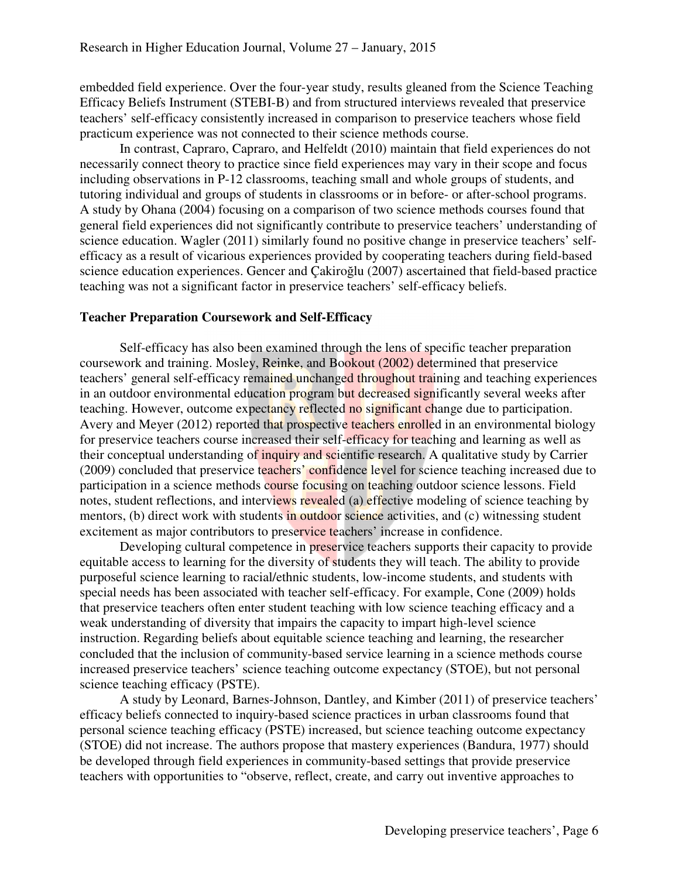embedded field experience. Over the four-year study, results gleaned from the Science Teaching Efficacy Beliefs Instrument (STEBI-B) and from structured interviews revealed that preservice teachers' self-efficacy consistently increased in comparison to preservice teachers whose field practicum experience was not connected to their science methods course.

In contrast, Capraro, Capraro, and Helfeldt (2010) maintain that field experiences do not necessarily connect theory to practice since field experiences may vary in their scope and focus including observations in P-12 classrooms, teaching small and whole groups of students, and tutoring individual and groups of students in classrooms or in before- or after-school programs. A study by Ohana (2004) focusing on a comparison of two science methods courses found that general field experiences did not significantly contribute to preservice teachers' understanding of science education. Wagler (2011) similarly found no positive change in preservice teachers' selfefficacy as a result of vicarious experiences provided by cooperating teachers during field-based science education experiences. Gencer and Çakiroğlu (2007) ascertained that field-based practice teaching was not a significant factor in preservice teachers' self-efficacy beliefs.

## **Teacher Preparation Coursework and Self-Efficacy**

Self-efficacy has also been examined through the lens of specific teacher preparation coursework and training. Mosley, Reinke, and Bookout (2002) determined that preservice teachers' general self-efficacy remained unchanged throughout training and teaching experiences in an outdoor environmental education program but decreased significantly several weeks after teaching. However, outcome expectancy reflected no significant change due to participation. Avery and Meyer (2012) reported that prospective teachers enrolled in an environmental biology for preservice teachers course increased their self-efficacy for teaching and learning as well as their conceptual understanding of inquiry and scientific research. A qualitative study by Carrier (2009) concluded that preservice teachers' confidence level for science teaching increased due to participation in a science methods course focusing on teaching outdoor science lessons. Field notes, student reflections, and interviews revealed (a) effective modeling of science teaching by mentors, (b) direct work with students in outdoor science activities, and (c) witnessing student excitement as major contributors to preservice teachers' increase in confidence.

Developing cultural competence in preservice teachers supports their capacity to provide equitable access to learning for the diversity of students they will teach. The ability to provide purposeful science learning to racial/ethnic students, low-income students, and students with special needs has been associated with teacher self-efficacy. For example, Cone (2009) holds that preservice teachers often enter student teaching with low science teaching efficacy and a weak understanding of diversity that impairs the capacity to impart high-level science instruction. Regarding beliefs about equitable science teaching and learning, the researcher concluded that the inclusion of community-based service learning in a science methods course increased preservice teachers' science teaching outcome expectancy (STOE), but not personal science teaching efficacy (PSTE).

A study by Leonard, Barnes-Johnson, Dantley, and Kimber (2011) of preservice teachers' efficacy beliefs connected to inquiry-based science practices in urban classrooms found that personal science teaching efficacy (PSTE) increased, but science teaching outcome expectancy (STOE) did not increase. The authors propose that mastery experiences (Bandura, 1977) should be developed through field experiences in community-based settings that provide preservice teachers with opportunities to "observe, reflect, create, and carry out inventive approaches to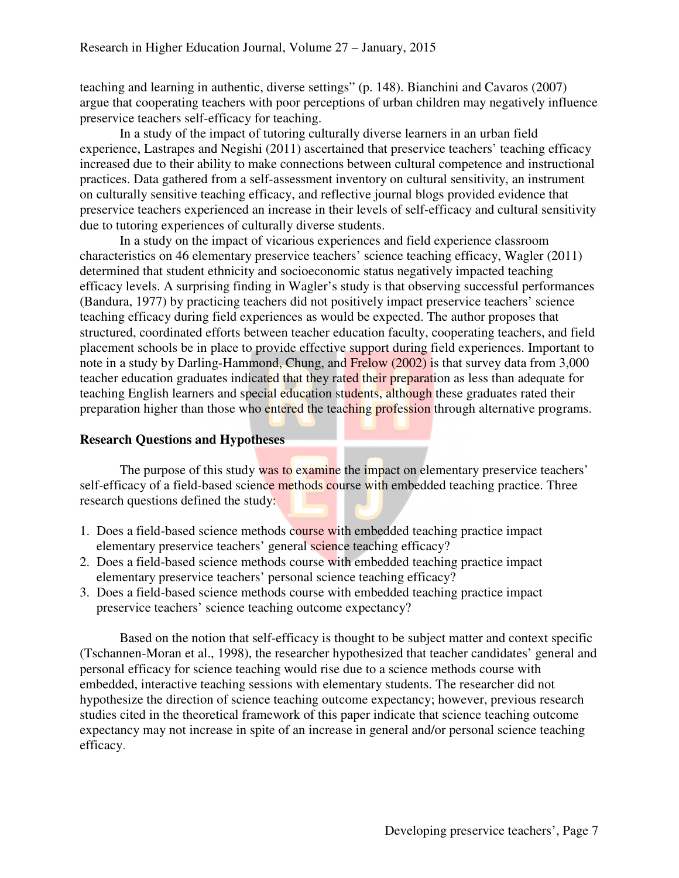teaching and learning in authentic, diverse settings" (p. 148). Bianchini and Cavaros (2007) argue that cooperating teachers with poor perceptions of urban children may negatively influence preservice teachers self-efficacy for teaching.

In a study of the impact of tutoring culturally diverse learners in an urban field experience, Lastrapes and Negishi (2011) ascertained that preservice teachers' teaching efficacy increased due to their ability to make connections between cultural competence and instructional practices. Data gathered from a self-assessment inventory on cultural sensitivity, an instrument on culturally sensitive teaching efficacy, and reflective journal blogs provided evidence that preservice teachers experienced an increase in their levels of self-efficacy and cultural sensitivity due to tutoring experiences of culturally diverse students.

In a study on the impact of vicarious experiences and field experience classroom characteristics on 46 elementary preservice teachers' science teaching efficacy, Wagler (2011) determined that student ethnicity and socioeconomic status negatively impacted teaching efficacy levels. A surprising finding in Wagler's study is that observing successful performances (Bandura, 1977) by practicing teachers did not positively impact preservice teachers' science teaching efficacy during field experiences as would be expected. The author proposes that structured, coordinated efforts between teacher education faculty, cooperating teachers, and field placement schools be in place to provide effective support during field experiences. Important to note in a study by Darling-Hammond, Chung, and Frelow (2002) is that survey data from 3,000 teacher education graduates indicated that they rated their preparation as less than adequate for teaching English learners and special education students, although these graduates rated their preparation higher than those who entered the teaching profession through alternative programs.

# **Research Questions and Hypotheses**

The purpose of this study was to examine the impact on elementary preservice teachers' self-efficacy of a field-based science methods course with embedded teaching practice. Three research questions defined the study:

- 1. Does a field-based science methods course with embedded teaching practice impact elementary preservice teachers' general science teaching efficacy?
- 2. Does a field-based science methods course with embedded teaching practice impact elementary preservice teachers' personal science teaching efficacy?
- 3. Does a field-based science methods course with embedded teaching practice impact preservice teachers' science teaching outcome expectancy?

 Based on the notion that self-efficacy is thought to be subject matter and context specific (Tschannen-Moran et al., 1998), the researcher hypothesized that teacher candidates' general and personal efficacy for science teaching would rise due to a science methods course with embedded, interactive teaching sessions with elementary students. The researcher did not hypothesize the direction of science teaching outcome expectancy; however, previous research studies cited in the theoretical framework of this paper indicate that science teaching outcome expectancy may not increase in spite of an increase in general and/or personal science teaching efficacy.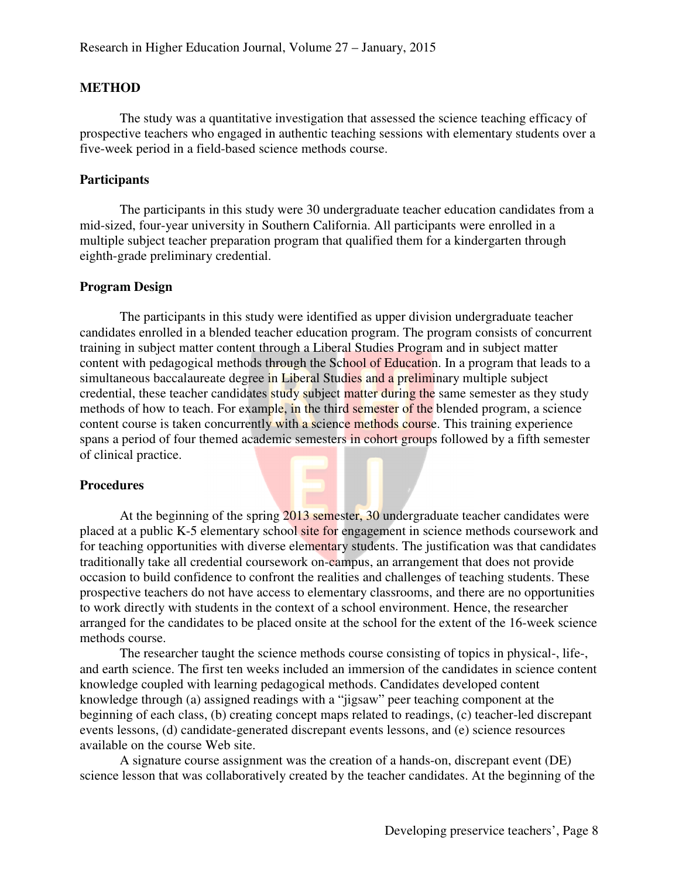# **METHOD**

The study was a quantitative investigation that assessed the science teaching efficacy of prospective teachers who engaged in authentic teaching sessions with elementary students over a five-week period in a field-based science methods course.

#### **Participants**

The participants in this study were 30 undergraduate teacher education candidates from a mid-sized, four-year university in Southern California. All participants were enrolled in a multiple subject teacher preparation program that qualified them for a kindergarten through eighth-grade preliminary credential.

#### **Program Design**

 The participants in this study were identified as upper division undergraduate teacher candidates enrolled in a blended teacher education program. The program consists of concurrent training in subject matter content through a Liberal Studies Program and in subject matter content with pedagogical methods through the School of Education. In a program that leads to a simultaneous baccalaureate degree in Liberal Studies and a preliminary multiple subject credential, these teacher candidates study subject matter during the same semester as they study methods of how to teach. For example, in the third semester of the blended program, a science content course is taken concurrently with a science methods course. This training experience spans a period of four themed academic semesters in cohort groups followed by a fifth semester of clinical practice.

#### **Procedures**

At the beginning of the spring 2013 semester, 30 undergraduate teacher candidates were placed at a public K-5 elementary school site for engagement in science methods coursework and for teaching opportunities with diverse elementary students. The justification was that candidates traditionally take all credential coursework on-campus, an arrangement that does not provide occasion to build confidence to confront the realities and challenges of teaching students. These prospective teachers do not have access to elementary classrooms, and there are no opportunities to work directly with students in the context of a school environment. Hence, the researcher arranged for the candidates to be placed onsite at the school for the extent of the 16-week science methods course.

The researcher taught the science methods course consisting of topics in physical-, life-, and earth science. The first ten weeks included an immersion of the candidates in science content knowledge coupled with learning pedagogical methods. Candidates developed content knowledge through (a) assigned readings with a "jigsaw" peer teaching component at the beginning of each class, (b) creating concept maps related to readings, (c) teacher-led discrepant events lessons, (d) candidate-generated discrepant events lessons, and (e) science resources available on the course Web site.

A signature course assignment was the creation of a hands-on, discrepant event (DE) science lesson that was collaboratively created by the teacher candidates. At the beginning of the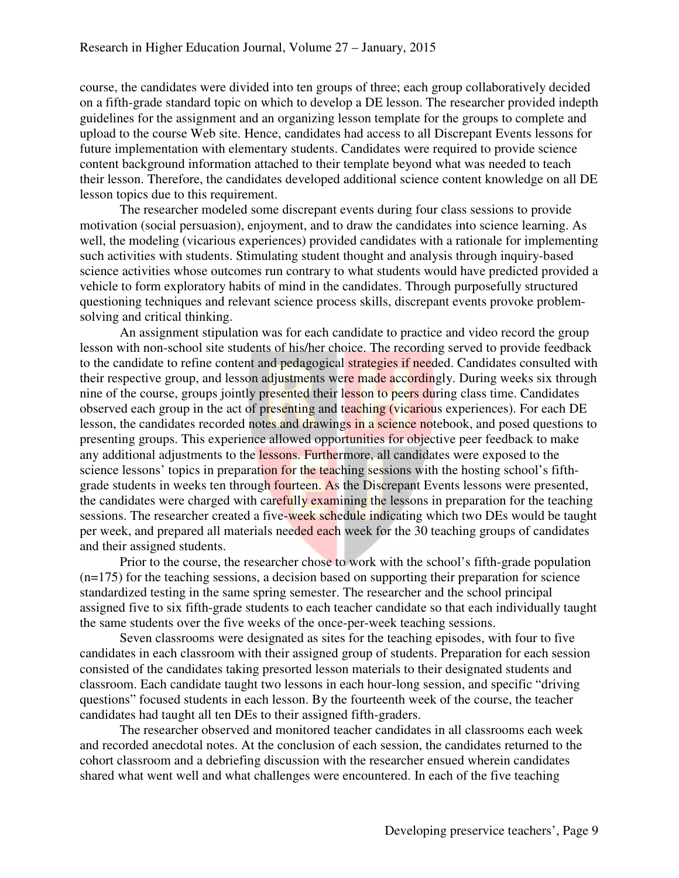course, the candidates were divided into ten groups of three; each group collaboratively decided on a fifth-grade standard topic on which to develop a DE lesson. The researcher provided indepth guidelines for the assignment and an organizing lesson template for the groups to complete and upload to the course Web site. Hence, candidates had access to all Discrepant Events lessons for future implementation with elementary students. Candidates were required to provide science content background information attached to their template beyond what was needed to teach their lesson. Therefore, the candidates developed additional science content knowledge on all DE lesson topics due to this requirement.

The researcher modeled some discrepant events during four class sessions to provide motivation (social persuasion), enjoyment, and to draw the candidates into science learning. As well, the modeling (vicarious experiences) provided candidates with a rationale for implementing such activities with students. Stimulating student thought and analysis through inquiry-based science activities whose outcomes run contrary to what students would have predicted provided a vehicle to form exploratory habits of mind in the candidates. Through purposefully structured questioning techniques and relevant science process skills, discrepant events provoke problemsolving and critical thinking.

An assignment stipulation was for each candidate to practice and video record the group lesson with non-school site students of his/her choice. The recording served to provide feedback to the candidate to refine content and pedagogical strategies if needed. Candidates consulted with their respective group, and lesson adjustments were made accordingly. During weeks six through nine of the course, groups jointly presented their lesson to peers during class time. Candidates observed each group in the act of presenting and teaching (vicarious experiences). For each DE lesson, the candidates recorded notes and drawings in a science notebook, and posed questions to presenting groups. This experience allowed opportunities for objective peer feedback to make any additional adjustments to the lessons. Furthermore, all candidates were exposed to the science lessons' topics in preparation for the teaching sessions with the hosting school's fifthgrade students in weeks ten through fourteen. As the Discrepant Events lessons were presented, the candidates were charged with carefully examining the lessons in preparation for the teaching sessions. The researcher created a five-week schedule indicating which two DEs would be taught per week, and prepared all materials needed each week for the 30 teaching groups of candidates and their assigned students.

Prior to the course, the researcher chose to work with the school's fifth-grade population (n=175) for the teaching sessions, a decision based on supporting their preparation for science standardized testing in the same spring semester. The researcher and the school principal assigned five to six fifth-grade students to each teacher candidate so that each individually taught the same students over the five weeks of the once-per-week teaching sessions.

Seven classrooms were designated as sites for the teaching episodes, with four to five candidates in each classroom with their assigned group of students. Preparation for each session consisted of the candidates taking presorted lesson materials to their designated students and classroom. Each candidate taught two lessons in each hour-long session, and specific "driving questions" focused students in each lesson. By the fourteenth week of the course, the teacher candidates had taught all ten DEs to their assigned fifth-graders.

The researcher observed and monitored teacher candidates in all classrooms each week and recorded anecdotal notes. At the conclusion of each session, the candidates returned to the cohort classroom and a debriefing discussion with the researcher ensued wherein candidates shared what went well and what challenges were encountered. In each of the five teaching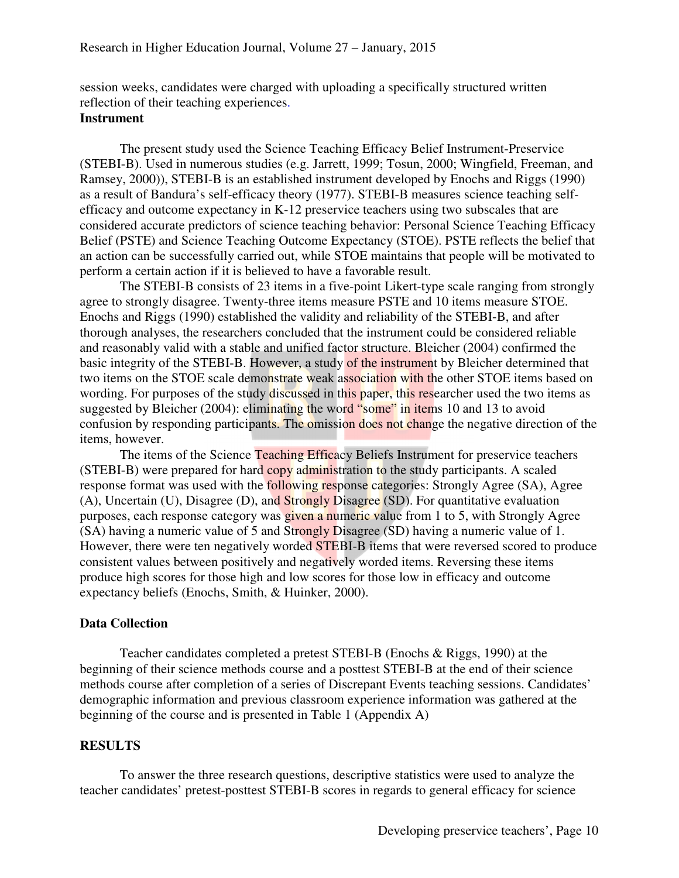session weeks, candidates were charged with uploading a specifically structured written reflection of their teaching experiences.

# **Instrument**

The present study used the Science Teaching Efficacy Belief Instrument-Preservice (STEBI-B). Used in numerous studies (e.g. Jarrett, 1999; Tosun, 2000; Wingfield, Freeman, and Ramsey, 2000)), STEBI-B is an established instrument developed by Enochs and Riggs (1990) as a result of Bandura's self-efficacy theory (1977). STEBI-B measures science teaching selfefficacy and outcome expectancy in K-12 preservice teachers using two subscales that are considered accurate predictors of science teaching behavior: Personal Science Teaching Efficacy Belief (PSTE) and Science Teaching Outcome Expectancy (STOE). PSTE reflects the belief that an action can be successfully carried out, while STOE maintains that people will be motivated to perform a certain action if it is believed to have a favorable result.

The STEBI-B consists of 23 items in a five-point Likert-type scale ranging from strongly agree to strongly disagree. Twenty-three items measure PSTE and 10 items measure STOE. Enochs and Riggs (1990) established the validity and reliability of the STEBI-B, and after thorough analyses, the researchers concluded that the instrument could be considered reliable and reasonably valid with a stable and unified factor structure. Bleicher (2004) confirmed the basic integrity of the STEBI-B. However, a study of the instrument by Bleicher determined that two items on the STOE scale demonstrate weak association with the other STOE items based on wording. For purposes of the study discussed in this paper, this researcher used the two items as suggested by Bleicher (2004): eliminating the word "some" in items 10 and 13 to avoid confusion by responding participants. The omission does not change the negative direction of the items, however.

The items of the Science Teaching Efficacy Beliefs Instrument for preservice teachers (STEBI-B) were prepared for hard copy administration to the study participants. A scaled response format was used with the following response categories: Strongly Agree (SA), Agree (A), Uncertain (U), Disagree (D), and Strongly Disagree (SD). For quantitative evaluation purposes, each response category was given a numeric value from 1 to 5, with Strongly Agree (SA) having a numeric value of 5 and Strongly Disagree (SD) having a numeric value of 1. However, there were ten negatively worded **STEBI-B** items that were reversed scored to produce consistent values between positively and negatively worded items. Reversing these items produce high scores for those high and low scores for those low in efficacy and outcome expectancy beliefs (Enochs, Smith, & Huinker, 2000).

#### **Data Collection**

Teacher candidates completed a pretest STEBI-B (Enochs & Riggs, 1990) at the beginning of their science methods course and a posttest STEBI-B at the end of their science methods course after completion of a series of Discrepant Events teaching sessions. Candidates' demographic information and previous classroom experience information was gathered at the beginning of the course and is presented in Table 1 (Appendix A)

# **RESULTS**

To answer the three research questions, descriptive statistics were used to analyze the teacher candidates' pretest-posttest STEBI-B scores in regards to general efficacy for science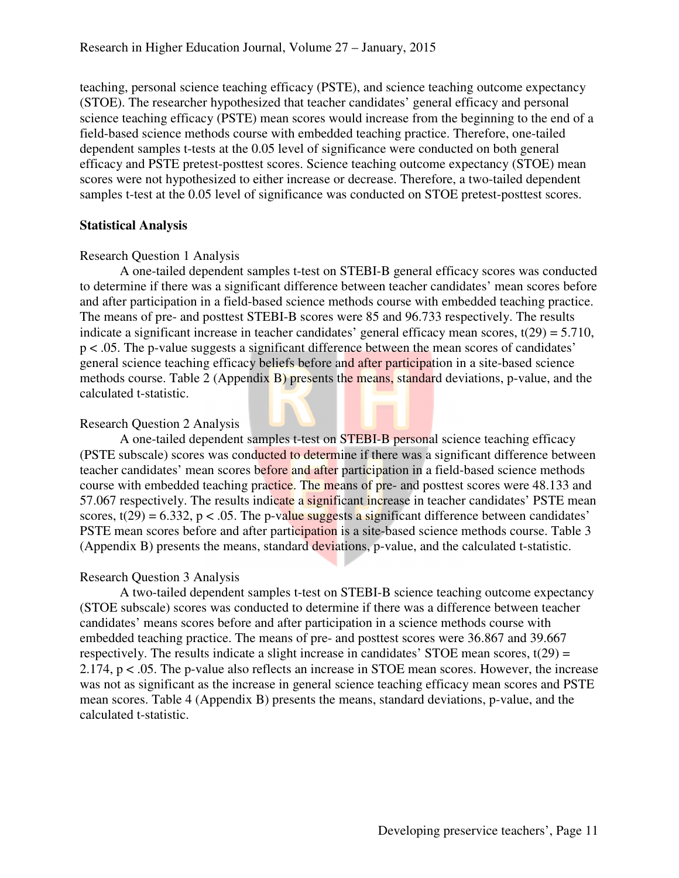teaching, personal science teaching efficacy (PSTE), and science teaching outcome expectancy (STOE). The researcher hypothesized that teacher candidates' general efficacy and personal science teaching efficacy (PSTE) mean scores would increase from the beginning to the end of a field-based science methods course with embedded teaching practice. Therefore, one-tailed dependent samples t-tests at the 0.05 level of significance were conducted on both general efficacy and PSTE pretest-posttest scores. Science teaching outcome expectancy (STOE) mean scores were not hypothesized to either increase or decrease. Therefore, a two-tailed dependent samples t-test at the 0.05 level of significance was conducted on STOE pretest-posttest scores.

# **Statistical Analysis**

# Research Question 1 Analysis

A one-tailed dependent samples t-test on STEBI-B general efficacy scores was conducted to determine if there was a significant difference between teacher candidates' mean scores before and after participation in a field-based science methods course with embedded teaching practice. The means of pre- and posttest STEBI-B scores were 85 and 96.733 respectively. The results indicate a significant increase in teacher candidates' general efficacy mean scores,  $t(29) = 5.710$ , p < .05. The p-value suggests a significant difference between the mean scores of candidates' general science teaching efficacy beliefs before and after participation in a site-based science methods course. Table 2 (Appendix B) presents the means, standard deviations, p-value, and the calculated t-statistic.

# Research Question 2 Analysis

A one-tailed dependent samples t-test on STEBI-B personal science teaching efficacy (PSTE subscale) scores was conducted to determine if there was a significant difference between teacher candidates' mean scores before and after participation in a field-based science methods course with embedded teaching practice. The means of pre- and posttest scores were 48.133 and 57.067 respectively. The results indicate a significant increase in teacher candidates' PSTE mean scores,  $t(29) = 6.332$ ,  $p < .05$ . The p-value suggests a significant difference between candidates' PSTE mean scores before and after participation is a site-based science methods course. Table 3 (Appendix B) presents the means, standard deviations, p-value, and the calculated t-statistic.

# Research Question 3 Analysis

A two-tailed dependent samples t-test on STEBI-B science teaching outcome expectancy (STOE subscale) scores was conducted to determine if there was a difference between teacher candidates' means scores before and after participation in a science methods course with embedded teaching practice. The means of pre- and posttest scores were 36.867 and 39.667 respectively. The results indicate a slight increase in candidates' STOE mean scores,  $t(29) =$ 2.174, p < .05. The p-value also reflects an increase in STOE mean scores. However, the increase was not as significant as the increase in general science teaching efficacy mean scores and PSTE mean scores. Table 4 (Appendix B) presents the means, standard deviations, p-value, and the calculated t-statistic.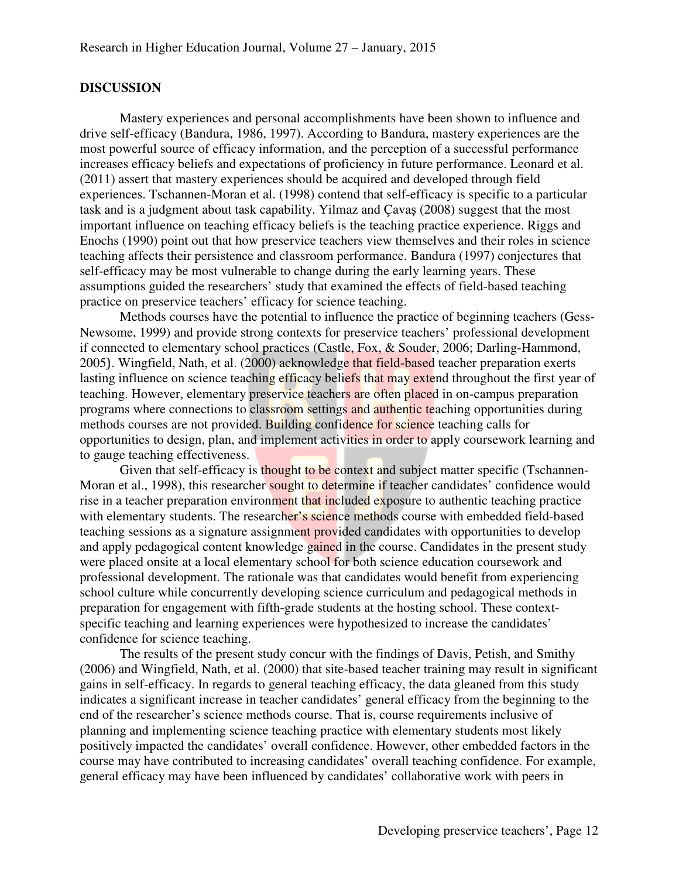#### **DISCUSSION**

 Mastery experiences and personal accomplishments have been shown to influence and drive self-efficacy (Bandura, 1986, 1997). According to Bandura, mastery experiences are the most powerful source of efficacy information, and the perception of a successful performance increases efficacy beliefs and expectations of proficiency in future performance. Leonard et al. (2011) assert that mastery experiences should be acquired and developed through field experiences. Tschannen-Moran et al. (1998) contend that self-efficacy is specific to a particular task and is a judgment about task capability. Yilmaz and Çavaş (2008) suggest that the most important influence on teaching efficacy beliefs is the teaching practice experience. Riggs and Enochs (1990) point out that how preservice teachers view themselves and their roles in science teaching affects their persistence and classroom performance. Bandura (1997) conjectures that self-efficacy may be most vulnerable to change during the early learning years. These assumptions guided the researchers' study that examined the effects of field-based teaching practice on preservice teachers' efficacy for science teaching.

Methods courses have the potential to influence the practice of beginning teachers (Gess-Newsome, 1999) and provide strong contexts for preservice teachers' professional development if connected to elementary school practices (Castle, Fox, & Souder, 2006; Darling-Hammond, 2005). Wingfield, Nath, et al. (2000) acknowledge that field-based teacher preparation exerts lasting influence on science teaching efficacy beliefs that may extend throughout the first year of teaching. However, elementary preservice teachers are often placed in on-campus preparation programs where connections to classroom settings and authentic teaching opportunities during methods courses are not provided. Building confidence for science teaching calls for opportunities to design, plan, and implement activities in order to apply coursework learning and to gauge teaching effectiveness.

Given that self-efficacy is thought to be context and subject matter specific (Tschannen-Moran et al., 1998), this researcher sought to determine if teacher candidates' confidence would rise in a teacher preparation environment that included exposure to authentic teaching practice with elementary students. The researcher's science methods course with embedded field-based teaching sessions as a signature assignment provided candidates with opportunities to develop and apply pedagogical content knowledge gained in the course. Candidates in the present study were placed onsite at a local elementary school for both science education coursework and professional development. The rationale was that candidates would benefit from experiencing school culture while concurrently developing science curriculum and pedagogical methods in preparation for engagement with fifth-grade students at the hosting school. These contextspecific teaching and learning experiences were hypothesized to increase the candidates' confidence for science teaching.

The results of the present study concur with the findings of Davis, Petish, and Smithy (2006) and Wingfield, Nath, et al. (2000) that site-based teacher training may result in significant gains in self-efficacy. In regards to general teaching efficacy, the data gleaned from this study indicates a significant increase in teacher candidates' general efficacy from the beginning to the end of the researcher's science methods course. That is, course requirements inclusive of planning and implementing science teaching practice with elementary students most likely positively impacted the candidates' overall confidence. However, other embedded factors in the course may have contributed to increasing candidates' overall teaching confidence. For example, general efficacy may have been influenced by candidates' collaborative work with peers in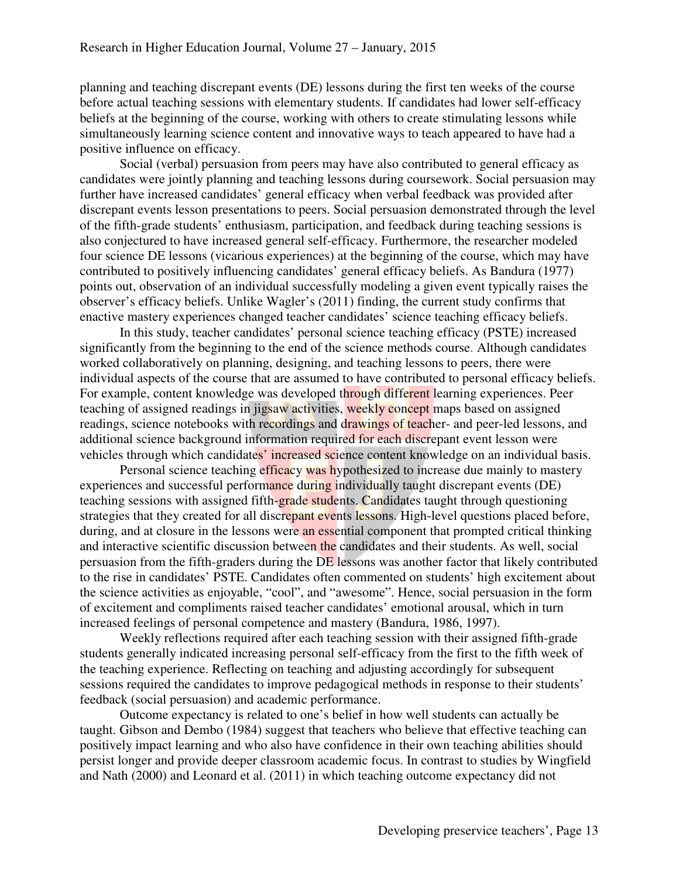planning and teaching discrepant events (DE) lessons during the first ten weeks of the course before actual teaching sessions with elementary students. If candidates had lower self-efficacy beliefs at the beginning of the course, working with others to create stimulating lessons while simultaneously learning science content and innovative ways to teach appeared to have had a positive influence on efficacy.

Social (verbal) persuasion from peers may have also contributed to general efficacy as candidates were jointly planning and teaching lessons during coursework. Social persuasion may further have increased candidates' general efficacy when verbal feedback was provided after discrepant events lesson presentations to peers. Social persuasion demonstrated through the level of the fifth-grade students' enthusiasm, participation, and feedback during teaching sessions is also conjectured to have increased general self-efficacy. Furthermore, the researcher modeled four science DE lessons (vicarious experiences) at the beginning of the course, which may have contributed to positively influencing candidates' general efficacy beliefs. As Bandura (1977) points out, observation of an individual successfully modeling a given event typically raises the observer's efficacy beliefs. Unlike Wagler's (2011) finding, the current study confirms that enactive mastery experiences changed teacher candidates' science teaching efficacy beliefs.

In this study, teacher candidates' personal science teaching efficacy (PSTE) increased significantly from the beginning to the end of the science methods course. Although candidates worked collaboratively on planning, designing, and teaching lessons to peers, there were individual aspects of the course that are assumed to have contributed to personal efficacy beliefs. For example, content knowledge was developed through different learning experiences. Peer teaching of assigned readings in jigsaw activities, weekly concept maps based on assigned readings, science notebooks with recordings and drawings of teacher- and peer-led lessons, and additional science background information required for each discrepant event lesson were vehicles through which candidates' increased science content knowledge on an individual basis.

Personal science teaching efficacy was hypothesized to increase due mainly to mastery experiences and successful performance during individually taught discrepant events (DE) teaching sessions with assigned fifth-grade students. Candidates taught through questioning strategies that they created for all discrepant events lessons. High-level questions placed before, during, and at closure in the lessons were an essential component that prompted critical thinking and interactive scientific discussion between the candidates and their students. As well, social persuasion from the fifth-graders during the DE lessons was another factor that likely contributed to the rise in candidates' PSTE. Candidates often commented on students' high excitement about the science activities as enjoyable, "cool", and "awesome". Hence, social persuasion in the form of excitement and compliments raised teacher candidates' emotional arousal, which in turn increased feelings of personal competence and mastery (Bandura, 1986, 1997).

Weekly reflections required after each teaching session with their assigned fifth-grade students generally indicated increasing personal self-efficacy from the first to the fifth week of the teaching experience. Reflecting on teaching and adjusting accordingly for subsequent sessions required the candidates to improve pedagogical methods in response to their students' feedback (social persuasion) and academic performance.

Outcome expectancy is related to one's belief in how well students can actually be taught. Gibson and Dembo (1984) suggest that teachers who believe that effective teaching can positively impact learning and who also have confidence in their own teaching abilities should persist longer and provide deeper classroom academic focus. In contrast to studies by Wingfield and Nath (2000) and Leonard et al. (2011) in which teaching outcome expectancy did not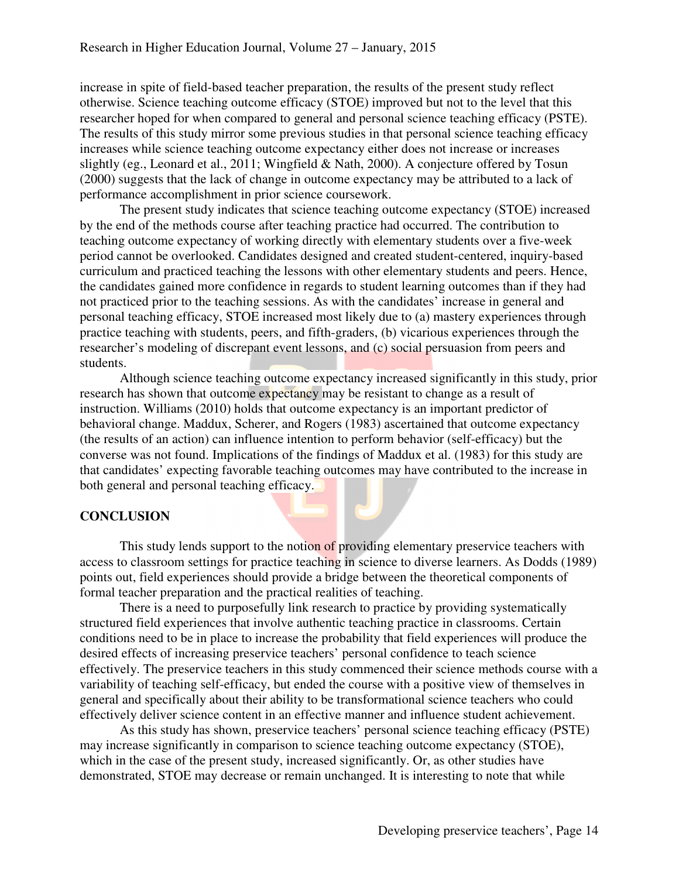increase in spite of field-based teacher preparation, the results of the present study reflect otherwise. Science teaching outcome efficacy (STOE) improved but not to the level that this researcher hoped for when compared to general and personal science teaching efficacy (PSTE). The results of this study mirror some previous studies in that personal science teaching efficacy increases while science teaching outcome expectancy either does not increase or increases slightly (eg., Leonard et al., 2011; Wingfield & Nath, 2000). A conjecture offered by Tosun (2000) suggests that the lack of change in outcome expectancy may be attributed to a lack of performance accomplishment in prior science coursework.

The present study indicates that science teaching outcome expectancy (STOE) increased by the end of the methods course after teaching practice had occurred. The contribution to teaching outcome expectancy of working directly with elementary students over a five-week period cannot be overlooked. Candidates designed and created student-centered, inquiry-based curriculum and practiced teaching the lessons with other elementary students and peers. Hence, the candidates gained more confidence in regards to student learning outcomes than if they had not practiced prior to the teaching sessions. As with the candidates' increase in general and personal teaching efficacy, STOE increased most likely due to (a) mastery experiences through practice teaching with students, peers, and fifth-graders, (b) vicarious experiences through the researcher's modeling of discrepant event lessons, and (c) social persuasion from peers and students.

Although science teaching outcome expectancy increased significantly in this study, prior research has shown that outcome expectancy may be resistant to change as a result of instruction. Williams (2010) holds that outcome expectancy is an important predictor of behavioral change. Maddux, Scherer, and Rogers (1983) ascertained that outcome expectancy (the results of an action) can influence intention to perform behavior (self-efficacy) but the converse was not found. Implications of the findings of Maddux et al. (1983) for this study are that candidates' expecting favorable teaching outcomes may have contributed to the increase in both general and personal teaching efficacy.

# **CONCLUSION**

This study lends support to the notion of providing elementary preservice teachers with access to classroom settings for practice teaching in science to diverse learners. As Dodds (1989) points out, field experiences should provide a bridge between the theoretical components of formal teacher preparation and the practical realities of teaching.

There is a need to purposefully link research to practice by providing systematically structured field experiences that involve authentic teaching practice in classrooms. Certain conditions need to be in place to increase the probability that field experiences will produce the desired effects of increasing preservice teachers' personal confidence to teach science effectively. The preservice teachers in this study commenced their science methods course with a variability of teaching self-efficacy, but ended the course with a positive view of themselves in general and specifically about their ability to be transformational science teachers who could effectively deliver science content in an effective manner and influence student achievement.

As this study has shown, preservice teachers' personal science teaching efficacy (PSTE) may increase significantly in comparison to science teaching outcome expectancy (STOE), which in the case of the present study, increased significantly. Or, as other studies have demonstrated, STOE may decrease or remain unchanged. It is interesting to note that while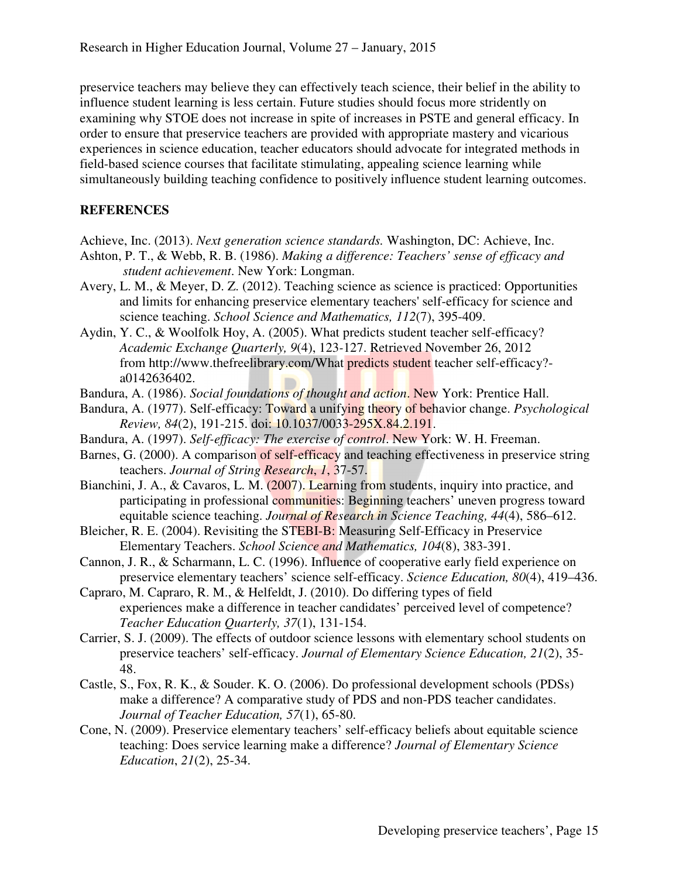preservice teachers may believe they can effectively teach science, their belief in the ability to influence student learning is less certain. Future studies should focus more stridently on examining why STOE does not increase in spite of increases in PSTE and general efficacy. In order to ensure that preservice teachers are provided with appropriate mastery and vicarious experiences in science education, teacher educators should advocate for integrated methods in field-based science courses that facilitate stimulating, appealing science learning while simultaneously building teaching confidence to positively influence student learning outcomes.

# **REFERENCES**

- Achieve, Inc. (2013). *Next generation science standards.* Washington, DC: Achieve, Inc.
- Ashton, P. T., & Webb, R. B. (1986). *Making a difference: Teachers' sense of efficacy and student achievement*. New York: Longman.
- Avery, L. M., & Meyer, D. Z. (2012). Teaching science as science is practiced: Opportunities and limits for enhancing preservice elementary teachers' self-efficacy for science and science teaching. *School Science and Mathematics, 112*(7), 395-409.
- Aydin, Y. C., & Woolfolk Hoy, A. (2005). What predicts student teacher self-efficacy? *Academic Exchange Quarterly, 9*(4), 123*-*127. Retrieved November 26, 2012 from http://www.thefreelibrary.com/What predicts student teacher self-efficacy? a0142636402.
- Bandura, A. (1986). *Social foundations of thought and action*. New York: Prentice Hall.
- Bandura, A. (1977). Self-efficacy: Toward a unifying theory of behavior change. *Psychological Review, 84*(2), 191-215. doi: 10.1037/0033-295X.84.2.191.
- Bandura, A. (1997). *Self-efficacy: The exercise of control*. New York: W. H. Freeman.
- Barnes, G. (2000). A comparison of self-efficacy and teaching effectiveness in preservice string teachers. *Journal of String Research*, *1*, 37-57.
- Bianchini, J. A., & Cavaros, L. M. (2007). Learning from students, inquiry into practice, and participating in professional communities: Beginning teachers' uneven progress toward equitable science teaching. *Journal of Research in Science Teaching, 44*(4), 586–612.
- Bleicher, R. E. (2004). Revisiting the STEBI-B: Measuring Self-Efficacy in Preservice Elementary Teachers. *School Science and Mathematics, 104*(8), 383-391.
- Cannon, J. R., & Scharmann, L. C. (1996). Influence of cooperative early field experience on preservice elementary teachers' science self-efficacy. *Science Education, 80*(4), 419–436.
- Capraro, M. Capraro, R. M., & Helfeldt, J. (2010). Do differing types of field experiences make a difference in teacher candidates' perceived level of competence? *Teacher Education Quarterly, 37*(1), 131-154.
- Carrier, S. J. (2009). The effects of outdoor science lessons with elementary school students on preservice teachers' self-efficacy. *Journal of Elementary Science Education, 21*(2), 35- 48.
- Castle, S., Fox, R. K., & Souder. K. O. (2006). Do professional development schools (PDSs) make a difference? A comparative study of PDS and non-PDS teacher candidates. *Journal of Teacher Education, 57*(1), 65-80.
- Cone, N. (2009). Preservice elementary teachers' self-efficacy beliefs about equitable science teaching: Does service learning make a difference? *Journal of Elementary Science Education*, *21*(2), 25-34.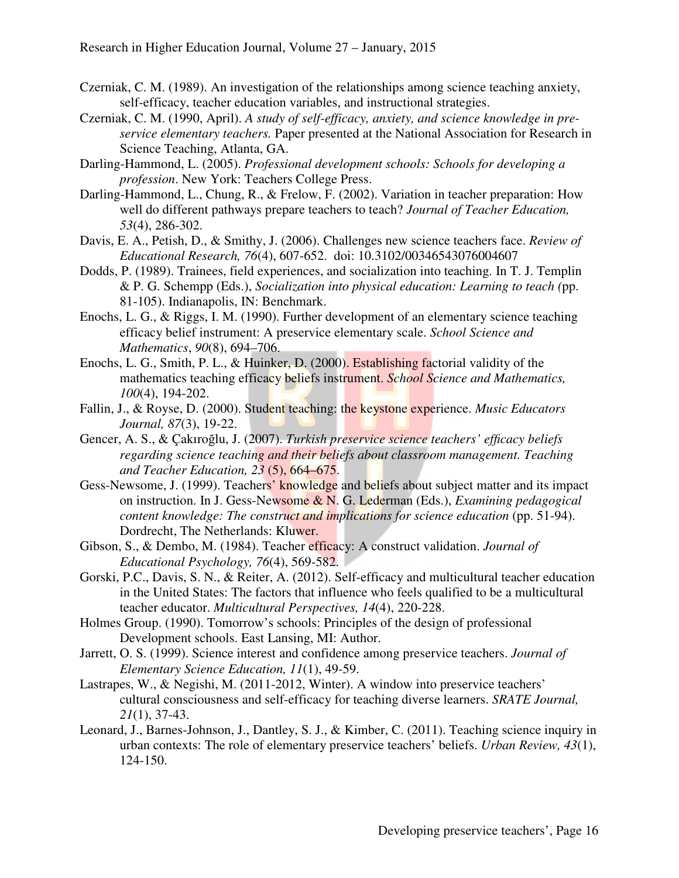- Czerniak, C. M. (1989). An investigation of the relationships among science teaching anxiety, self-efficacy, teacher education variables, and instructional strategies.
- Czerniak, C. M. (1990, April). *A study of self-efficacy, anxiety, and science knowledge in preservice elementary teachers.* Paper presented at the National Association for Research in Science Teaching, Atlanta, GA.
- Darling-Hammond, L. (2005). *Professional development schools: Schools for developing a profession*. New York: Teachers College Press.
- Darling-Hammond, L., Chung, R., & Frelow, F. (2002). Variation in teacher preparation: How well do different pathways prepare teachers to teach? *Journal of Teacher Education, 53*(4), 286-302.
- Davis, E. A., Petish, D., & Smithy, J. (2006). Challenges new science teachers face. *Review of Educational Research, 76*(4), 607-652. doi: 10.3102/00346543076004607
- Dodds, P. (1989). Trainees, field experiences, and socialization into teaching. In T. J. Templin & P. G. Schempp (Eds.), *Socialization into physical education: Learning to teach (*pp. 81-105). Indianapolis, IN: Benchmark.
- Enochs, L. G., & Riggs, I. M. (1990). Further development of an elementary science teaching efficacy belief instrument: A preservice elementary scale. *School Science and Mathematics*, *90*(8), 694–706.
- Enochs, L. G., Smith, P. L., & Huinker, D. (2000). Establishing factorial validity of the mathematics teaching efficacy beliefs instrument. *School Science and Mathematics, 100*(4), 194-202.
- Fallin, J., & Royse, D. (2000). Student teaching: the keystone experience. *Music Educators Journal, 87*(3), 19-22.
- Gencer, A. S., & Çakıroğlu, J. (2007). *Turkish preservice science teachers' efficacy beliefs regarding science teaching and their beliefs about classroom management. Teaching and Teacher Education, 23* (5), 664–675.
- Gess-Newsome, J. (1999). Teachers' knowledge and beliefs about subject matter and its impact on instruction. In J. Gess-Newsome & N. G. Lederman (Eds.), *Examining pedagogical content knowledge: The construct and implications for science education* (pp. 51-94). Dordrecht, The Netherlands: Kluwer.
- Gibson, S., & Dembo, M. (1984). Teacher efficacy: A construct validation. *Journal of Educational Psychology, 76*(4), 569-582.
- Gorski, P.C., Davis, S. N., & Reiter, A. (2012). Self-efficacy and multicultural teacher education in the United States: The factors that influence who feels qualified to be a multicultural teacher educator. *Multicultural Perspectives, 14*(4), 220-228.
- Holmes Group. (1990). Tomorrow's schools: Principles of the design of professional Development schools. East Lansing, MI: Author.
- Jarrett, O. S. (1999). Science interest and confidence among preservice teachers. *Journal of Elementary Science Education, 11*(1), 49-59.
- Lastrapes, W., & Negishi, M. (2011-2012, Winter). A window into preservice teachers' cultural consciousness and self-efficacy for teaching diverse learners. *SRATE Journal, 21*(1), 37-43.
- Leonard, J., Barnes-Johnson, J., Dantley, S. J., & Kimber, C. (2011). Teaching science inquiry in urban contexts: The role of elementary preservice teachers' beliefs. *Urban Review, 43*(1), 124-150.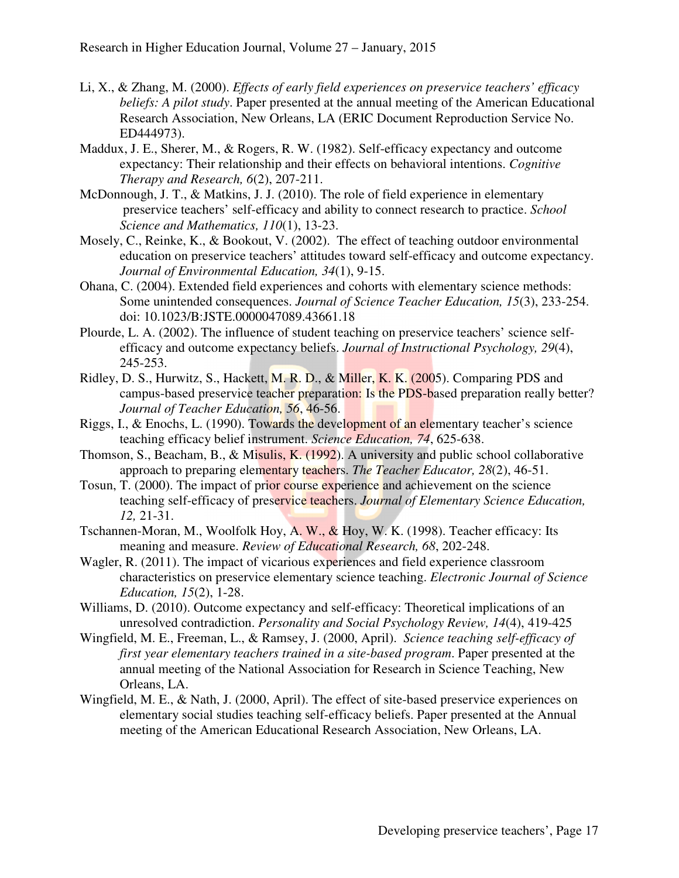- Li, X., & Zhang, M. (2000). *Effects of early field experiences on preservice teachers' efficacy beliefs: A pilot study*. Paper presented at the annual meeting of the American Educational Research Association, New Orleans, LA (ERIC Document Reproduction Service No. ED444973).
- Maddux, J. E., Sherer, M., & Rogers, R. W. (1982). Self-efficacy expectancy and outcome expectancy: Their relationship and their effects on behavioral intentions. *Cognitive Therapy and Research, 6*(2), 207-211.
- McDonnough, J. T., & Matkins, J. J. (2010). The role of field experience in elementary preservice teachers' self-efficacy and ability to connect research to practice. *School Science and Mathematics, 110*(1), 13-23.
- Mosely, C., Reinke, K., & Bookout, V. (2002). The effect of teaching outdoor environmental education on preservice teachers' attitudes toward self-efficacy and outcome expectancy. *Journal of Environmental Education, 34*(1), 9-15.
- Ohana, C. (2004). Extended field experiences and cohorts with elementary science methods: Some unintended consequences. *Journal of Science Teacher Education, 15*(3), 233-254. doi: 10.1023/B:JSTE.0000047089.43661.18
- Plourde, L. A. (2002). The influence of student teaching on preservice teachers' science selfefficacy and outcome expectancy beliefs. *Journal of Instructional Psychology, 29*(4), 245-253.
- Ridley, D. S., Hurwitz, S., Hackett, M. R. D., & Miller, K. K. (2005). Comparing PDS and campus-based preservice teacher preparation: Is the PDS-based preparation really better? *Journal of Teacher Education, 56*, 46-56.
- Riggs, I., & Enochs, L. (1990). Towards the development of an elementary teacher's science teaching efficacy belief instrument. *Science Education, 74*, 625-638.
- Thomson, S., Beacham, B., & Misulis, K. (1992). A university and public school collaborative approach to preparing elementary teachers. *The Teacher Educator, 28*(2), 46-51.
- Tosun, T. (2000). The impact of prior course experience and achievement on the science teaching self-efficacy of preservice teachers. *Journal of Elementary Science Education, 12,* 21-31.
- Tschannen-Moran, M., Woolfolk Hoy, A. W., & Hoy, W. K. (1998). Teacher efficacy: Its meaning and measure. *Review of Educational Research, 68*, 202-248.
- Wagler, R. (2011). The impact of vicarious experiences and field experience classroom characteristics on preservice elementary science teaching. *Electronic Journal of Science Education, 15*(2), 1-28.
- Williams, D. (2010). Outcome expectancy and self-efficacy: Theoretical implications of an unresolved contradiction. *Personality and Social Psychology Review, 14*(4), 419-425
- Wingfield, M. E., Freeman, L., & Ramsey, J. (2000, April). *Science teaching self-efficacy of first year elementary teachers trained in a site-based program*. Paper presented at the annual meeting of the National Association for Research in Science Teaching, New Orleans, LA.
- Wingfield, M. E., & Nath, J. (2000, April). The effect of site-based preservice experiences on elementary social studies teaching self-efficacy beliefs. Paper presented at the Annual meeting of the American Educational Research Association, New Orleans, LA.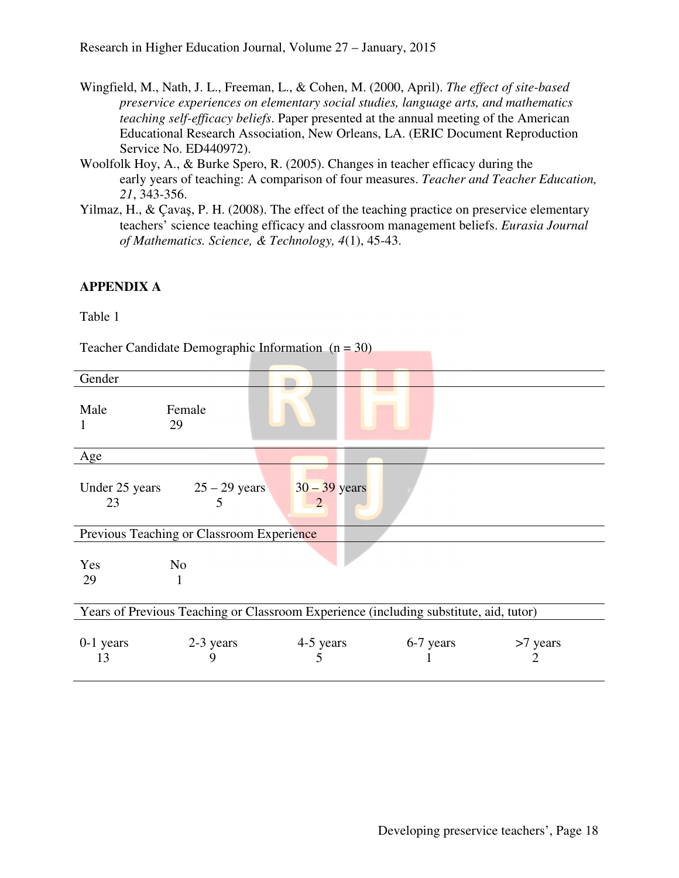- Wingfield, M., Nath, J. L., Freeman, L., & Cohen, M. (2000, April). *The effect of site-based preservice experiences on elementary social studies, language arts, and mathematics teaching self-efficacy beliefs*. Paper presented at the annual meeting of the American Educational Research Association, New Orleans, LA. (ERIC Document Reproduction Service No. ED440972).
- Woolfolk Hoy, A., & Burke Spero, R. (2005). Changes in teacher efficacy during the early years of teaching: A comparison of four measures. *Teacher and Teacher Education, 21*, 343-356.
- Yilmaz, H., & Çavaş, P. H. (2008). The effect of the teaching practice on preservice elementary teachers' science teaching efficacy and classroom management beliefs. *Eurasia Journal of Mathematics. Science, & Technology, 4*(1), 45-43.

# **APPENDIX A**

Table 1

Teacher Candidate Demographic Information  $(n = 30)$ 

| Gender                                                                                |                                                     |                |           |               |  |  |
|---------------------------------------------------------------------------------------|-----------------------------------------------------|----------------|-----------|---------------|--|--|
| Male<br>1                                                                             | Female<br>29                                        |                |           |               |  |  |
| Age                                                                                   |                                                     |                |           |               |  |  |
| 23                                                                                    | Under 25 years $25 - 29$ years $30 - 39$ years<br>5 | 2              |           |               |  |  |
| Previous Teaching or Classroom Experience                                             |                                                     |                |           |               |  |  |
| Yes<br>29                                                                             | N <sub>o</sub><br>1                                 |                |           |               |  |  |
| Years of Previous Teaching or Classroom Experience (including substitute, aid, tutor) |                                                     |                |           |               |  |  |
| $0-1$ years<br>13                                                                     | 2-3 years<br>9                                      | 4-5 years<br>5 | 6-7 years | >7 years<br>2 |  |  |